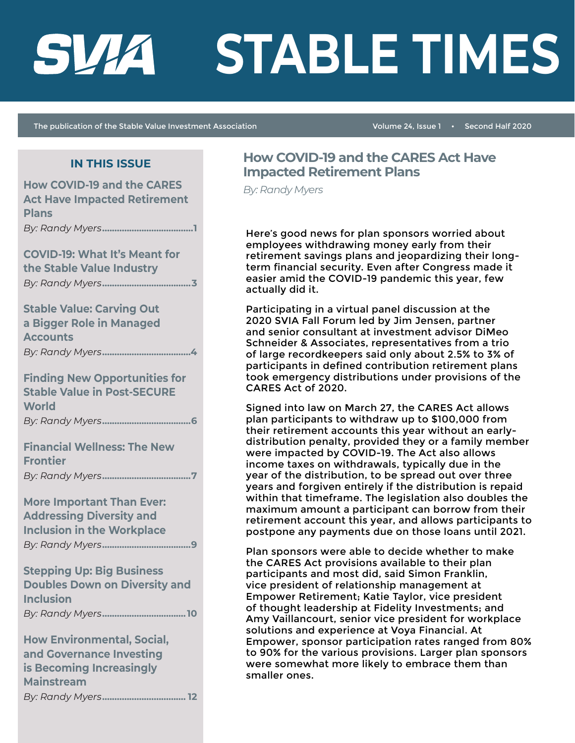# SVIA

# **STABLE TIMES**

The publication of the Stable Value Investment Association

Volume 24, Issue 1 . Second Half 2020

# **IN THIS ISSUE**

| <b>How COVID-19 and the CARES</b><br><b>Act Have Impacted Retirement</b><br><b>Plans</b>                       |
|----------------------------------------------------------------------------------------------------------------|
|                                                                                                                |
| <b>COVID-19: What It's Meant for</b><br>the Stable Value Industry                                              |
| <b>Stable Value: Carving Out</b><br>a Bigger Role in Managed<br><b>Accounts</b>                                |
| <b>Finding New Opportunities for</b><br><b>Stable Value in Post-SECURE</b><br><b>World</b>                     |
| <b>Financial Wellness: The New</b><br><b>Frontier</b>                                                          |
| <b>More Important Than Ever:</b><br><b>Addressing Diversity and</b><br><b>Inclusion in the Workplace</b>       |
| <b>Stepping Up: Big Business</b><br><b>Doubles Down on Diversity and</b><br><b>Inclusion</b>                   |
| <b>How Environmental, Social,</b><br>and Governance Investing<br>is Becoming Increasingly<br><b>Mainstream</b> |

# **How COVID-19 and the CARES Act Have Impacted Retirement Plans**

**By: Randy Myers** 

Here's good news for plan sponsors worried about employees withdrawing money early from their retirement savings plans and jeopardizing their longterm financial security. Even after Congress made it easier amid the COVID-19 pandemic this year, few actually did it.

Participating in a virtual panel discussion at the 2020 SVIA Fall Forum led by Jim Jensen, partner and senior consultant at investment advisor DiMeo Schneider & Associates, representatives from a trio of large recordkeepers said only about 2.5% to 3% of participants in defined contribution retirement plans took emergency distributions under provisions of the CARES Act of 2020.

Signed into law on March 27, the CARES Act allows plan participants to withdraw up to \$100,000 from their retirement accounts this year without an earlydistribution penalty, provided they or a family member were impacted by COVID-19. The Act also allows income taxes on withdrawals, typically due in the year of the distribution, to be spread out over three years and forgiven entirely if the distribution is repaid within that timeframe. The legislation also doubles the maximum amount a participant can borrow from their retirement account this year, and allows participants to postpone any payments due on those loans until 2021.

Plan sponsors were able to decide whether to make the CARES Act provisions available to their plan participants and most did, said Simon Franklin, vice president of relationship management at Empower Retirement; Katie Taylor, vice president of thought leadership at Fidelity Investments; and Amy Vaillancourt, senior vice president for workplace solutions and experience at Voya Financial. At Empower, sponsor participation rates ranged from 80% to 90% for the various provisions. Larger plan sponsors were somewhat more likely to embrace them than smaller ones.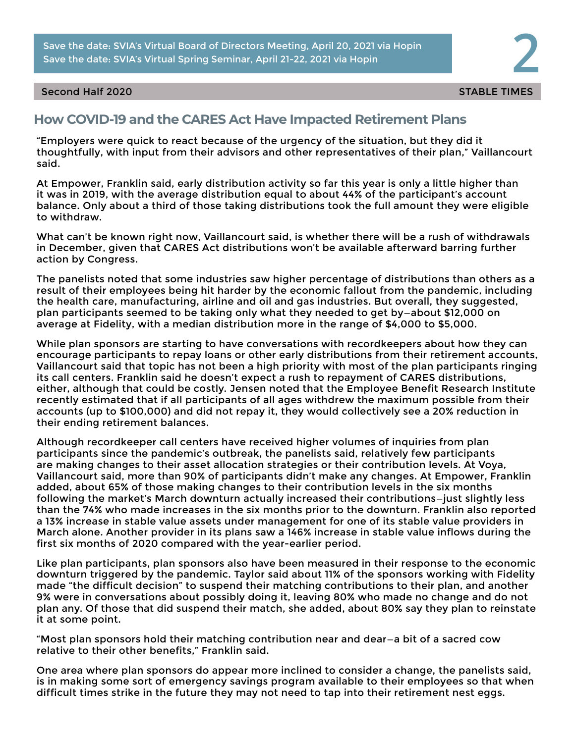Save the date: SVIA's Virtual Board of Directors Meeting, April 20, 2021 via Hopin **2008.**<br>Save the date: SVIA's Virtual Spring Seminar, April 21-22, 2021 via Hopin **2008.** Save the date: SVIA's Virtual Board of Directors Meeting, April 20, 2021 via Hopin

## Second Half 2020 States of the States of the States of the States of the States of the States of the States of the States of the States of the States of the States of the States of the States of the States of the States of

# **How COVID-19 and the CARES Act Have Impacted Retirement Plans**

"Employers were quick to react because of the urgency of the situation, but they did it thoughtfully, with input from their advisors and other representatives of their plan," Vaillancourt said.

At Empower, Franklin said, early distribution activity so far this year is only a little higher than it was in 2019, with the average distribution equal to about 44% of the participant's account balance. Only about a third of those taking distributions took the full amount they were eligible to withdraw.

What can't be known right now, Vaillancourt said, is whether there will be a rush of withdrawals in December, given that CARES Act distributions won't be available afterward barring further action by Congress.

The panelists noted that some industries saw higher percentage of distributions than others as a result of their employees being hit harder by the economic fallout from the pandemic, including the health care, manufacturing, airline and oil and gas industries. But overall, they suggested, plan participants seemed to be taking only what they needed to get by—about \$12,000 on average at Fidelity, with a median distribution more in the range of \$4,000 to \$5,000.

While plan sponsors are starting to have conversations with recordkeepers about how they can encourage participants to repay loans or other early distributions from their retirement accounts, Vaillancourt said that topic has not been a high priority with most of the plan participants ringing its call centers. Franklin said he doesn't expect a rush to repayment of CARES distributions, either, although that could be costly. Jensen noted that the Employee Benefit Research Institute recently estimated that if all participants of all ages withdrew the maximum possible from their accounts (up to \$100,000) and did not repay it, they would collectively see a 20% reduction in their ending retirement balances.

Although recordkeeper call centers have received higher volumes of inquiries from plan participants since the pandemic's outbreak, the panelists said, relatively few participants are making changes to their asset allocation strategies or their contribution levels. At Voya, Vaillancourt said, more than 90% of participants didn't make any changes. At Empower, Franklin added, about 65% of those making changes to their contribution levels in the six months following the market's March downturn actually increased their contributions—just slightly less than the 74% who made increases in the six months prior to the downturn. Franklin also reported a 13% increase in stable value assets under management for one of its stable value providers in March alone. Another provider in its plans saw a 146% increase in stable value inflows during the first six months of 2020 compared with the year-earlier period.

Like plan participants, plan sponsors also have been measured in their response to the economic downturn triggered by the pandemic. Taylor said about 11% of the sponsors working with Fidelity made "the difficult decision" to suspend their matching contributions to their plan, and another 9% were in conversations about possibly doing it, leaving 80% who made no change and do not plan any. Of those that did suspend their match, she added, about 80% say they plan to reinstate it at some point.

"Most plan sponsors hold their matching contribution near and dear—a bit of a sacred cow relative to their other benefits," Franklin said.

One area where plan sponsors do appear more inclined to consider a change, the panelists said, is in making some sort of emergency savings program available to their employees so that when difficult times strike in the future they may not need to tap into their retirement nest eggs.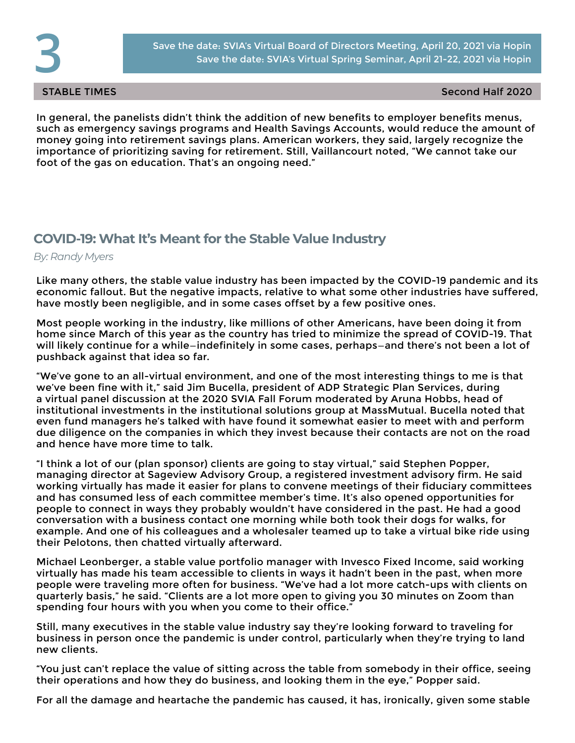STABLE TIMES Second Half 2020

In general, the panelists didn't think the addition of new benefits to employer benefits menus, such as emergency savings programs and Health Savings Accounts, would reduce the amount of money going into retirement savings plans. American workers, they said, largely recognize the importance of prioritizing saving for retirement. Still, Vaillancourt noted, "We cannot take our foot of the gas on education. That's an ongoing need."

# **COVID-19: What It's Meant for the Stable Value Industry**

*By: Randy Myers*

Like many others, the stable value industry has been impacted by the COVID-19 pandemic and its economic fallout. But the negative impacts, relative to what some other industries have suffered, have mostly been negligible, and in some cases offset by a few positive ones.

Most people working in the industry, like millions of other Americans, have been doing it from home since March of this year as the country has tried to minimize the spread of COVID-19. That will likely continue for a while—indefinitely in some cases, perhaps—and there's not been a lot of pushback against that idea so far.

"We've gone to an all-virtual environment, and one of the most interesting things to me is that we've been fine with it," said Jim Bucella, president of ADP Strategic Plan Services, during a virtual panel discussion at the 2020 SVIA Fall Forum moderated by Aruna Hobbs, head of institutional investments in the institutional solutions group at MassMutual. Bucella noted that even fund managers he's talked with have found it somewhat easier to meet with and perform due diligence on the companies in which they invest because their contacts are not on the road and hence have more time to talk.

"I think a lot of our (plan sponsor) clients are going to stay virtual," said Stephen Popper, managing director at Sageview Advisory Group, a registered investment advisory firm. He said working virtually has made it easier for plans to convene meetings of their fiduciary committees and has consumed less of each committee member's time. It's also opened opportunities for people to connect in ways they probably wouldn't have considered in the past. He had a good conversation with a business contact one morning while both took their dogs for walks, for example. And one of his colleagues and a wholesaler teamed up to take a virtual bike ride using their Pelotons, then chatted virtually afterward.

Michael Leonberger, a stable value portfolio manager with Invesco Fixed Income, said working virtually has made his team accessible to clients in ways it hadn't been in the past, when more people were traveling more often for business. "We've had a lot more catch-ups with clients on quarterly basis," he said. "Clients are a lot more open to giving you 30 minutes on Zoom than spending four hours with you when you come to their office."

Still, many executives in the stable value industry say they're looking forward to traveling for business in person once the pandemic is under control, particularly when they're trying to land new clients.

"You just can't replace the value of sitting across the table from somebody in their office, seeing their operations and how they do business, and looking them in the eye," Popper said.

For all the damage and heartache the pandemic has caused, it has, ironically, given some stable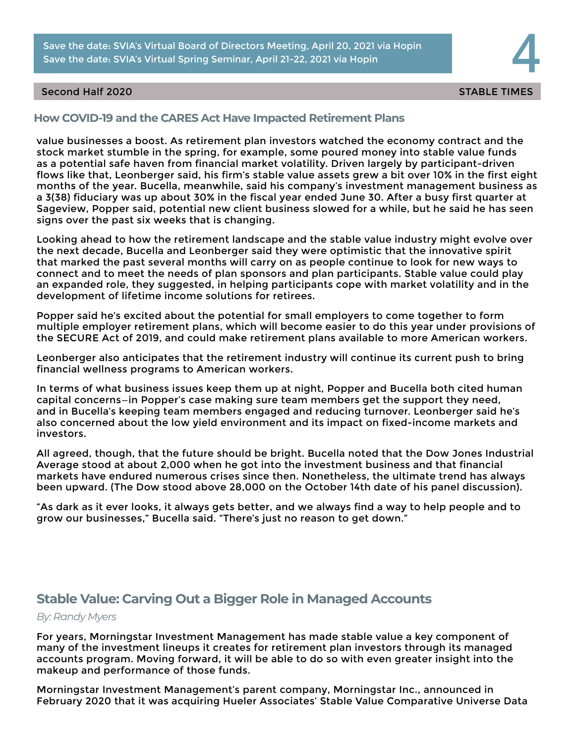Save the date: SVIA's Virtual Board of Directors Meeting, April 20, 2021 via Hopin **44 Marsh 1998. In the date: SVIA's Virtual Spring Seminar, April 21-22, 2021 via Hopin <b>44 Marsh 1999. In the date: SVIA's Virtual Spring** Save the date: SVIA's Virtual Board of Directors Meeting, April 20, 2021 via Hopin

## Second Half 2020 States of the States of the States of the States of the States of the States of the States of the States of the States of the States of the States of the States of the States of the States of the States of

# **How COVID-19 and the CARES Act Have Impacted Retirement Plans**

value businesses a boost. As retirement plan investors watched the economy contract and the stock market stumble in the spring, for example, some poured money into stable value funds as a potential safe haven from financial market volatility. Driven largely by participant-driven flows like that, Leonberger said, his firm's stable value assets grew a bit over 10% in the first eight months of the year. Bucella, meanwhile, said his company's investment management business as a 3(38) fiduciary was up about 30% in the fiscal year ended June 30. After a busy first quarter at Sageview, Popper said, potential new client business slowed for a while, but he said he has seen signs over the past six weeks that is changing.

Looking ahead to how the retirement landscape and the stable value industry might evolve over the next decade, Bucella and Leonberger said they were optimistic that the innovative spirit that marked the past several months will carry on as people continue to look for new ways to connect and to meet the needs of plan sponsors and plan participants. Stable value could play an expanded role, they suggested, in helping participants cope with market volatility and in the development of lifetime income solutions for retirees.

Popper said he's excited about the potential for small employers to come together to form multiple employer retirement plans, which will become easier to do this year under provisions of the SECURE Act of 2019, and could make retirement plans available to more American workers.

Leonberger also anticipates that the retirement industry will continue its current push to bring financial wellness programs to American workers.

In terms of what business issues keep them up at night, Popper and Bucella both cited human capital concerns—in Popper's case making sure team members get the support they need, and in Bucella's keeping team members engaged and reducing turnover. Leonberger said he's also concerned about the low yield environment and its impact on fixed-income markets and investors.

All agreed, though, that the future should be bright. Bucella noted that the Dow Jones Industrial Average stood at about 2,000 when he got into the investment business and that financial markets have endured numerous crises since then. Nonetheless, the ultimate trend has always been upward. (The Dow stood above 28,000 on the October 14th date of his panel discussion).

"As dark as it ever looks, it always gets better, and we always find a way to help people and to grow our businesses," Bucella said. "There's just no reason to get down."

# **Stable Value: Carving Out a Bigger Role in Managed Accounts**

### *By: Randy Myers*

For years, Morningstar Investment Management has made stable value a key component of many of the investment lineups it creates for retirement plan investors through its managed accounts program. Moving forward, it will be able to do so with even greater insight into the makeup and performance of those funds.

Morningstar Investment Management's parent company, Morningstar Inc., announced in February 2020 that it was acquiring Hueler Associates' Stable Value Comparative Universe Data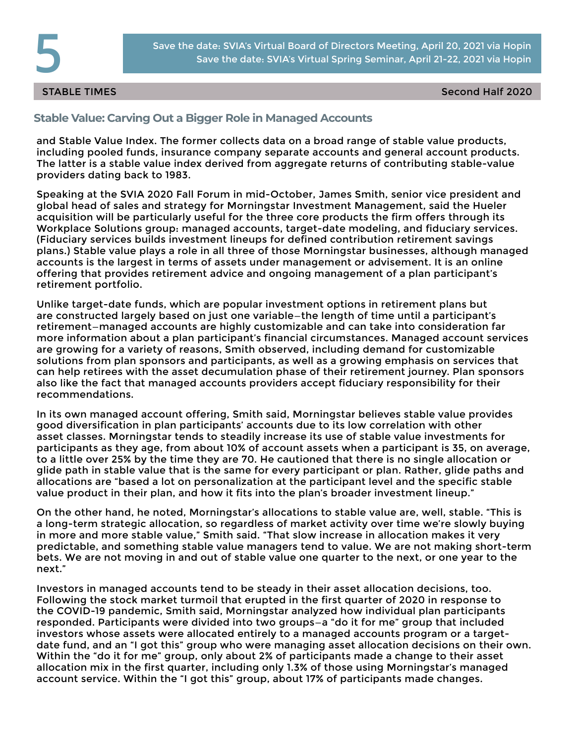STABLE TIMES Second Half 2020

# **Stable Value: Carving Out a Bigger Role in Managed Accounts**

and Stable Value Index. The former collects data on a broad range of stable value products, including pooled funds, insurance company separate accounts and general account products. The latter is a stable value index derived from aggregate returns of contributing stable-value providers dating back to 1983.

Speaking at the SVIA 2020 Fall Forum in mid-October, James Smith, senior vice president and global head of sales and strategy for Morningstar Investment Management, said the Hueler acquisition will be particularly useful for the three core products the firm offers through its Workplace Solutions group: managed accounts, target-date modeling, and fiduciary services. (Fiduciary services builds investment lineups for defined contribution retirement savings plans.) Stable value plays a role in all three of those Morningstar businesses, although managed accounts is the largest in terms of assets under management or advisement. It is an online offering that provides retirement advice and ongoing management of a plan participant's retirement portfolio.

Unlike target-date funds, which are popular investment options in retirement plans but are constructed largely based on just one variable—the length of time until a participant's retirement—managed accounts are highly customizable and can take into consideration far more information about a plan participant's financial circumstances. Managed account services are growing for a variety of reasons, Smith observed, including demand for customizable solutions from plan sponsors and participants, as well as a growing emphasis on services that can help retirees with the asset decumulation phase of their retirement journey. Plan sponsors also like the fact that managed accounts providers accept fiduciary responsibility for their recommendations.

In its own managed account offering, Smith said, Morningstar believes stable value provides good diversification in plan participants' accounts due to its low correlation with other asset classes. Morningstar tends to steadily increase its use of stable value investments for participants as they age, from about 10% of account assets when a participant is 35, on average, to a little over 25% by the time they are 70. He cautioned that there is no single allocation or glide path in stable value that is the same for every participant or plan. Rather, glide paths and allocations are "based a lot on personalization at the participant level and the specific stable value product in their plan, and how it fits into the plan's broader investment lineup."

On the other hand, he noted, Morningstar's allocations to stable value are, well, stable. "This is a long-term strategic allocation, so regardless of market activity over time we're slowly buying in more and more stable value," Smith said. "That slow increase in allocation makes it very predictable, and something stable value managers tend to value. We are not making short-term bets. We are not moving in and out of stable value one quarter to the next, or one year to the next."

Investors in managed accounts tend to be steady in their asset allocation decisions, too. Following the stock market turmoil that erupted in the first quarter of 2020 in response to the COVID-19 pandemic, Smith said, Morningstar analyzed how individual plan participants responded. Participants were divided into two groups—a "do it for me" group that included investors whose assets were allocated entirely to a managed accounts program or a targetdate fund, and an "I got this" group who were managing asset allocation decisions on their own. Within the "do it for me" group, only about 2% of participants made a change to their asset allocation mix in the first quarter, including only 1.3% of those using Morningstar's managed account service. Within the "I got this" group, about 17% of participants made changes.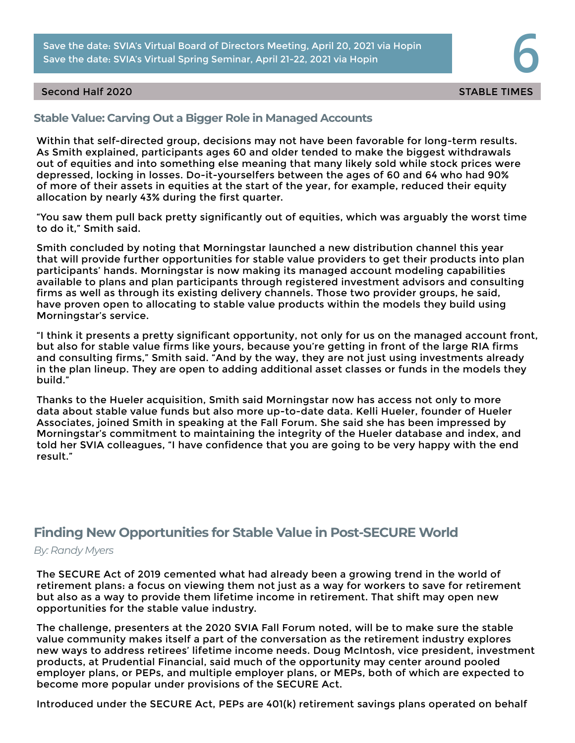Save the date: SVIA's Virtual Board of Directors Meeting, April 20, 2021 via Hopin **68. Save the date: SVIA's Virtual Spring Seminar, April 21-22, 2021 via Hopin 66. Save the date: SVIA's Virtual Spring Seminar, April 21-2** Save the date: SVIA's Virtual Board of Directors Meeting, April 20, 2021 via Hopin

## Second Half 2020 States of the States of the States of the States of the States of the States of the States of the States of the States of the States of the States of the States of the States of the States of the States of

# **Stable Value: Carving Out a Bigger Role in Managed Accounts**

Within that self-directed group, decisions may not have been favorable for long-term results. As Smith explained, participants ages 60 and older tended to make the biggest withdrawals out of equities and into something else meaning that many likely sold while stock prices were depressed, locking in losses. Do-it-yourselfers between the ages of 60 and 64 who had 90% of more of their assets in equities at the start of the year, for example, reduced their equity allocation by nearly 43% during the first quarter.

"You saw them pull back pretty significantly out of equities, which was arguably the worst time to do it," Smith said.

Smith concluded by noting that Morningstar launched a new distribution channel this year that will provide further opportunities for stable value providers to get their products into plan participants' hands. Morningstar is now making its managed account modeling capabilities available to plans and plan participants through registered investment advisors and consulting firms as well as through its existing delivery channels. Those two provider groups, he said, have proven open to allocating to stable value products within the models they build using Morningstar's service.

"I think it presents a pretty significant opportunity, not only for us on the managed account front, but also for stable value firms like yours, because you're getting in front of the large RIA firms and consulting firms," Smith said. "And by the way, they are not just using investments already in the plan lineup. They are open to adding additional asset classes or funds in the models they build."

Thanks to the Hueler acquisition, Smith said Morningstar now has access not only to more data about stable value funds but also more up-to-date data. Kelli Hueler, founder of Hueler Associates, joined Smith in speaking at the Fall Forum. She said she has been impressed by Morningstar's commitment to maintaining the integrity of the Hueler database and index, and told her SVIA colleagues, "I have confidence that you are going to be very happy with the end result."

# **Finding New Opportunities for Stable Value in Post-SECURE World**

*By: Randy Myers*

The SECURE Act of 2019 cemented what had already been a growing trend in the world of retirement plans: a focus on viewing them not just as a way for workers to save for retirement but also as a way to provide them lifetime income in retirement. That shift may open new opportunities for the stable value industry.

The challenge, presenters at the 2020 SVIA Fall Forum noted, will be to make sure the stable value community makes itself a part of the conversation as the retirement industry explores new ways to address retirees' lifetime income needs. Doug McIntosh, vice president, investment products, at Prudential Financial, said much of the opportunity may center around pooled employer plans, or PEPs, and multiple employer plans, or MEPs, both of which are expected to become more popular under provisions of the SECURE Act.

Introduced under the SECURE Act, PEPs are 401(k) retirement savings plans operated on behalf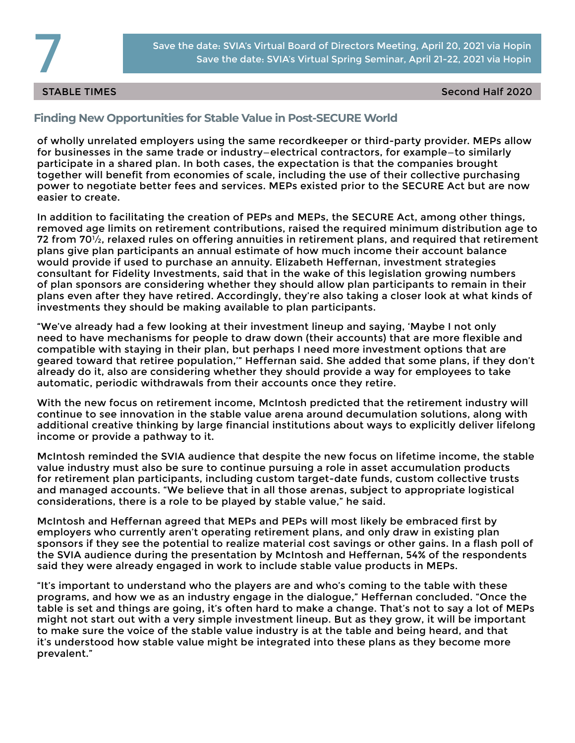

STABLE TIMES Second Half 2020

# **Finding New Opportunities for Stable Value in Post-SECURE World**

of wholly unrelated employers using the same recordkeeper or third-party provider. MEPs allow for businesses in the same trade or industry—electrical contractors, for example—to similarly participate in a shared plan. In both cases, the expectation is that the companies brought together will benefit from economies of scale, including the use of their collective purchasing power to negotiate better fees and services. MEPs existed prior to the SECURE Act but are now easier to create.

In addition to facilitating the creation of PEPs and MEPs, the SECURE Act, among other things, removed age limits on retirement contributions, raised the required minimum distribution age to 72 from  $70\frac{1}{2}$ , relaxed rules on offering annuities in retirement plans, and required that retirement plans give plan participants an annual estimate of how much income their account balance would provide if used to purchase an annuity. Elizabeth Heffernan, investment strategies consultant for Fidelity Investments, said that in the wake of this legislation growing numbers of plan sponsors are considering whether they should allow plan participants to remain in their plans even after they have retired. Accordingly, they're also taking a closer look at what kinds of investments they should be making available to plan participants.

"We've already had a few looking at their investment lineup and saying, 'Maybe I not only need to have mechanisms for people to draw down (their accounts) that are more flexible and compatible with staying in their plan, but perhaps I need more investment options that are geared toward that retiree population,'" Heffernan said. She added that some plans, if they don't already do it, also are considering whether they should provide a way for employees to take automatic, periodic withdrawals from their accounts once they retire.

With the new focus on retirement income, McIntosh predicted that the retirement industry will continue to see innovation in the stable value arena around decumulation solutions, along with additional creative thinking by large financial institutions about ways to explicitly deliver lifelong income or provide a pathway to it.

McIntosh reminded the SVIA audience that despite the new focus on lifetime income, the stable value industry must also be sure to continue pursuing a role in asset accumulation products for retirement plan participants, including custom target-date funds, custom collective trusts and managed accounts. "We believe that in all those arenas, subject to appropriate logistical considerations, there is a role to be played by stable value," he said.

McIntosh and Heffernan agreed that MEPs and PEPs will most likely be embraced first by employers who currently aren't operating retirement plans, and only draw in existing plan sponsors if they see the potential to realize material cost savings or other gains. In a flash poll of the SVIA audience during the presentation by McIntosh and Heffernan, 54% of the respondents said they were already engaged in work to include stable value products in MEPs.

"It's important to understand who the players are and who's coming to the table with these programs, and how we as an industry engage in the dialogue," Heffernan concluded. "Once the table is set and things are going, it's often hard to make a change. That's not to say a lot of MEPs might not start out with a very simple investment lineup. But as they grow, it will be important to make sure the voice of the stable value industry is at the table and being heard, and that it's understood how stable value might be integrated into these plans as they become more prevalent."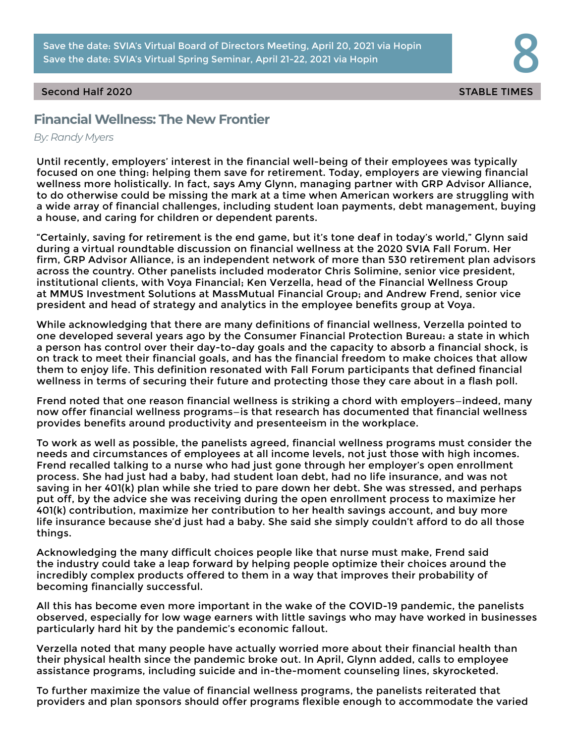Save the date: SVIA's Virtual Board of Directors Meeting, April 20, 2021 via Hopin **888.**<br>Save the date: SVIA's Virtual Spring Seminar, April 21-22, 2021 via Hopin **888.** Save the date: SVIA's Virtual Board of Directors Meeting, April 20, 2021 via Hopin

## Second Half 2020 States of the States of the States of the States of the States of the States of the States of the States of the States of the States of the States of the States of the States of the States of the States of

# **Financial Wellness: The New Frontier**

## *By: Randy Myers*

Until recently, employers' interest in the financial well-being of their employees was typically focused on one thing: helping them save for retirement. Today, employers are viewing financial wellness more holistically. In fact, says Amy Glynn, managing partner with GRP Advisor Alliance, to do otherwise could be missing the mark at a time when American workers are struggling with a wide array of financial challenges, including student loan payments, debt management, buying a house, and caring for children or dependent parents.

"Certainly, saving for retirement is the end game, but it's tone deaf in today's world," Glynn said during a virtual roundtable discussion on financial wellness at the 2020 SVIA Fall Forum. Her firm, GRP Advisor Alliance, is an independent network of more than 530 retirement plan advisors across the country. Other panelists included moderator Chris Solimine, senior vice president, institutional clients, with Voya Financial; Ken Verzella, head of the Financial Wellness Group at MMUS Investment Solutions at MassMutual Financial Group; and Andrew Frend, senior vice president and head of strategy and analytics in the employee benefits group at Voya.

While acknowledging that there are many definitions of financial wellness, Verzella pointed to one developed several years ago by the Consumer Financial Protection Bureau: a state in which a person has control over their day-to-day goals and the capacity to absorb a financial shock, is on track to meet their financial goals, and has the financial freedom to make choices that allow them to enjoy life. This definition resonated with Fall Forum participants that defined financial wellness in terms of securing their future and protecting those they care about in a flash poll.

Frend noted that one reason financial wellness is striking a chord with employers—indeed, many now offer financial wellness programs—is that research has documented that financial wellness provides benefits around productivity and presenteeism in the workplace.

To work as well as possible, the panelists agreed, financial wellness programs must consider the needs and circumstances of employees at all income levels, not just those with high incomes. Frend recalled talking to a nurse who had just gone through her employer's open enrollment process. She had just had a baby, had student loan debt, had no life insurance, and was not saving in her 401(k) plan while she tried to pare down her debt. She was stressed, and perhaps put off, by the advice she was receiving during the open enrollment process to maximize her 401(k) contribution, maximize her contribution to her health savings account, and buy more life insurance because she'd just had a baby. She said she simply couldn't afford to do all those things.

Acknowledging the many difficult choices people like that nurse must make, Frend said the industry could take a leap forward by helping people optimize their choices around the incredibly complex products offered to them in a way that improves their probability of becoming financially successful.

All this has become even more important in the wake of the COVID-19 pandemic, the panelists observed, especially for low wage earners with little savings who may have worked in businesses particularly hard hit by the pandemic's economic fallout.

Verzella noted that many people have actually worried more about their financial health than their physical health since the pandemic broke out. In April, Glynn added, calls to employee assistance programs, including suicide and in-the-moment counseling lines, skyrocketed.

To further maximize the value of financial wellness programs, the panelists reiterated that providers and plan sponsors should offer programs flexible enough to accommodate the varied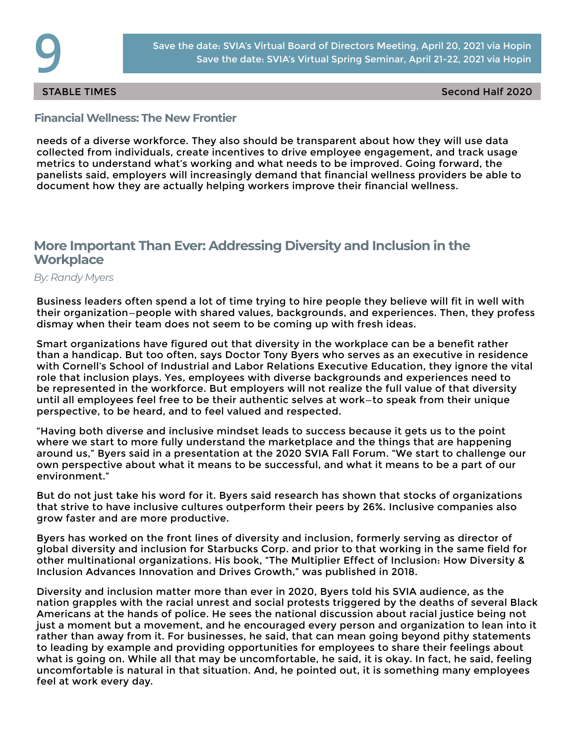STABLE TIMES Second Half 2020

# **Financial Wellness: The New Frontier**

needs of a diverse workforce. They also should be transparent about how they will use data collected from individuals, create incentives to drive employee engagement, and track usage metrics to understand what's working and what needs to be improved. Going forward, the panelists said, employers will increasingly demand that financial wellness providers be able to document how they are actually helping workers improve their financial wellness.

# **More Important Than Ever: Addressing Diversity and Inclusion in the Workplace**

*By: Randy Myers*

Business leaders often spend a lot of time trying to hire people they believe will fit in well with their organization—people with shared values, backgrounds, and experiences. Then, they profess dismay when their team does not seem to be coming up with fresh ideas.

Smart organizations have figured out that diversity in the workplace can be a benefit rather than a handicap. But too often, says Doctor Tony Byers who serves as an executive in residence with Cornell's School of Industrial and Labor Relations Executive Education, they ignore the vital role that inclusion plays. Yes, employees with diverse backgrounds and experiences need to be represented in the workforce. But employers will not realize the full value of that diversity until all employees feel free to be their authentic selves at work—to speak from their unique perspective, to be heard, and to feel valued and respected.

"Having both diverse and inclusive mindset leads to success because it gets us to the point where we start to more fully understand the marketplace and the things that are happening around us," Byers said in a presentation at the 2020 SVIA Fall Forum. "We start to challenge our own perspective about what it means to be successful, and what it means to be a part of our environment."

But do not just take his word for it. Byers said research has shown that stocks of organizations that strive to have inclusive cultures outperform their peers by 26%. Inclusive companies also grow faster and are more productive.

Byers has worked on the front lines of diversity and inclusion, formerly serving as director of global diversity and inclusion for Starbucks Corp. and prior to that working in the same field for other multinational organizations. His book, "The Multiplier Effect of Inclusion: How Diversity & Inclusion Advances Innovation and Drives Growth," was published in 2018.

Diversity and inclusion matter more than ever in 2020, Byers told his SVIA audience, as the nation grapples with the racial unrest and social protests triggered by the deaths of several Black Americans at the hands of police. He sees the national discussion about racial justice being not just a moment but a movement, and he encouraged every person and organization to lean into it rather than away from it. For businesses, he said, that can mean going beyond pithy statements to leading by example and providing opportunities for employees to share their feelings about what is going on. While all that may be uncomfortable, he said, it is okay. In fact, he said, feeling uncomfortable is natural in that situation. And, he pointed out, it is something many employees feel at work every day.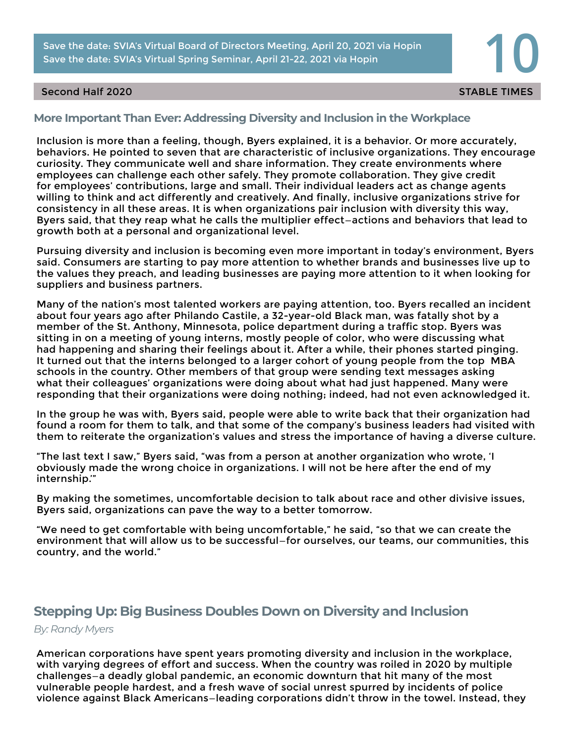Save the date: SVIA's Virtual Board of Directors Meeting, April 20, 2021 via Hopin **100 Save the date: SVIA's Virtual Spring Seminar, April 21-22, 2021 via Hopin 100 Save the date: SVIA's Virtual Spring Seminar, April 21-2** Save the date: SVIA's Virtual Board of Directors Meeting, April 20, 2021 via Hopin

## Second Half 2020 States of the States of the States of the States of the States of the States of the States of the States of the States of the States of the States of the States of the States of the States of the States of

# **More Important Than Ever: Addressing Diversity and Inclusion in the Workplace**

Inclusion is more than a feeling, though, Byers explained, it is a behavior. Or more accurately, behaviors. He pointed to seven that are characteristic of inclusive organizations. They encourage curiosity. They communicate well and share information. They create environments where employees can challenge each other safely. They promote collaboration. They give credit for employees' contributions, large and small. Their individual leaders act as change agents willing to think and act differently and creatively. And finally, inclusive organizations strive for consistency in all these areas. It is when organizations pair inclusion with diversity this way, Byers said, that they reap what he calls the multiplier effect—actions and behaviors that lead to growth both at a personal and organizational level.

Pursuing diversity and inclusion is becoming even more important in today's environment, Byers said. Consumers are starting to pay more attention to whether brands and businesses live up to the values they preach, and leading businesses are paying more attention to it when looking for suppliers and business partners.

Many of the nation's most talented workers are paying attention, too. Byers recalled an incident about four years ago after Philando Castile, a 32-year-old Black man, was fatally shot by a member of the St. Anthony, Minnesota, police department during a traffic stop. Byers was sitting in on a meeting of young interns, mostly people of color, who were discussing what had happening and sharing their feelings about it. After a while, their phones started pinging. It turned out that the interns belonged to a larger cohort of young people from the top MBA schools in the country. Other members of that group were sending text messages asking what their colleagues' organizations were doing about what had just happened. Many were responding that their organizations were doing nothing; indeed, had not even acknowledged it.

In the group he was with, Byers said, people were able to write back that their organization had found a room for them to talk, and that some of the company's business leaders had visited with them to reiterate the organization's values and stress the importance of having a diverse culture.

"The last text I saw," Byers said, "was from a person at another organization who wrote, 'I obviously made the wrong choice in organizations. I will not be here after the end of my internship.'"

By making the sometimes, uncomfortable decision to talk about race and other divisive issues, Byers said, organizations can pave the way to a better tomorrow.

"We need to get comfortable with being uncomfortable," he said, "so that we can create the environment that will allow us to be successful—for ourselves, our teams, our communities, this country, and the world."

# **Stepping Up: Big Business Doubles Down on Diversity and Inclusion**

## *By: Randy Myers*

American corporations have spent years promoting diversity and inclusion in the workplace, with varying degrees of effort and success. When the country was roiled in 2020 by multiple challenges—a deadly global pandemic, an economic downturn that hit many of the most vulnerable people hardest, and a fresh wave of social unrest spurred by incidents of police violence against Black Americans—leading corporations didn't throw in the towel. Instead, they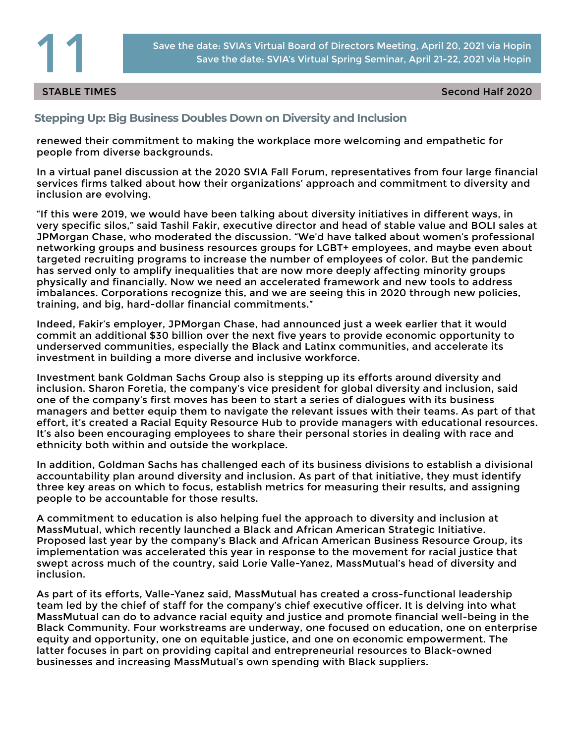

### STABLE TIMES Second Half 2020

# **Stepping Up: Big Business Doubles Down on Diversity and Inclusion**

renewed their commitment to making the workplace more welcoming and empathetic for people from diverse backgrounds.

In a virtual panel discussion at the 2020 SVIA Fall Forum, representatives from four large financial services firms talked about how their organizations' approach and commitment to diversity and inclusion are evolving.

"If this were 2019, we would have been talking about diversity initiatives in different ways, in very specific silos," said Tashil Fakir, executive director and head of stable value and BOLI sales at JPMorgan Chase, who moderated the discussion. "We'd have talked about women's professional networking groups and business resources groups for LGBT+ employees, and maybe even about targeted recruiting programs to increase the number of employees of color. But the pandemic has served only to amplify inequalities that are now more deeply affecting minority groups physically and financially. Now we need an accelerated framework and new tools to address imbalances. Corporations recognize this, and we are seeing this in 2020 through new policies, training, and big, hard-dollar financial commitments."

Indeed, Fakir's employer, JPMorgan Chase, had announced just a week earlier that it would commit an additional \$30 billion over the next five years to provide economic opportunity to underserved communities, especially the Black and Latinx communities, and accelerate its investment in building a more diverse and inclusive workforce.

Investment bank Goldman Sachs Group also is stepping up its efforts around diversity and inclusion. Sharon Foretia, the company's vice president for global diversity and inclusion, said one of the company's first moves has been to start a series of dialogues with its business managers and better equip them to navigate the relevant issues with their teams. As part of that effort, it's created a Racial Equity Resource Hub to provide managers with educational resources. It's also been encouraging employees to share their personal stories in dealing with race and ethnicity both within and outside the workplace.

In addition, Goldman Sachs has challenged each of its business divisions to establish a divisional accountability plan around diversity and inclusion. As part of that initiative, they must identify three key areas on which to focus, establish metrics for measuring their results, and assigning people to be accountable for those results.

A commitment to education is also helping fuel the approach to diversity and inclusion at MassMutual, which recently launched a Black and African American Strategic Initiative. Proposed last year by the company's Black and African American Business Resource Group, its implementation was accelerated this year in response to the movement for racial justice that swept across much of the country, said Lorie Valle-Yanez, MassMutual's head of diversity and inclusion.

As part of its efforts, Valle-Yanez said, MassMutual has created a cross-functional leadership team led by the chief of staff for the company's chief executive officer. It is delving into what MassMutual can do to advance racial equity and justice and promote financial well-being in the Black Community. Four workstreams are underway, one focused on education, one on enterprise equity and opportunity, one on equitable justice, and one on economic empowerment. The latter focuses in part on providing capital and entrepreneurial resources to Black-owned businesses and increasing MassMutual's own spending with Black suppliers.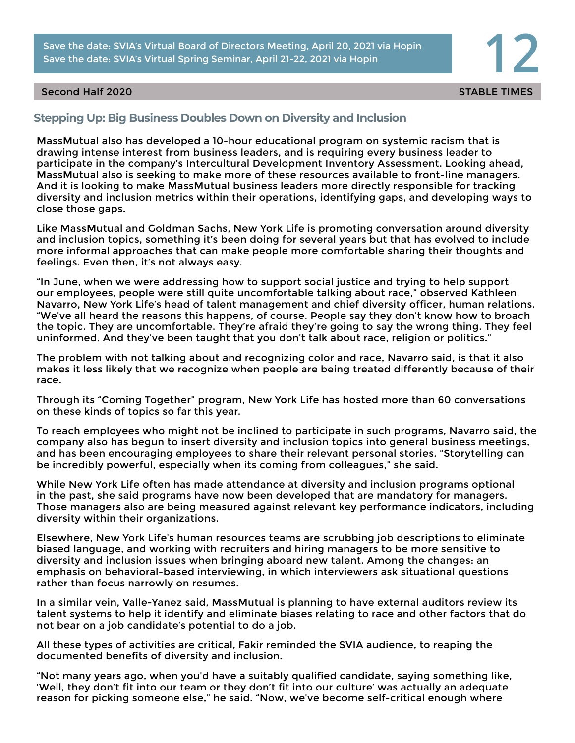Save the date: SVIA's Virtual Board of Directors Meeting, April 20, 2021 via Hopin **120 Save the date: SVIA's Virtual Spring Seminar, April 21-22, 2021 via Hopin 12** Save the date: SVIA's Virtual Board of Directors Meeting, April 20, 2021 via Hopin

## Second Half 2020 States of the States of the States of the States of the States of the States of the States of the States of the States of the States of the States of the States of the States of the States of the States of

# **Stepping Up: Big Business Doubles Down on Diversity and Inclusion**

MassMutual also has developed a 10-hour educational program on systemic racism that is drawing intense interest from business leaders, and is requiring every business leader to participate in the company's Intercultural Development Inventory Assessment. Looking ahead, MassMutual also is seeking to make more of these resources available to front-line managers. And it is looking to make MassMutual business leaders more directly responsible for tracking diversity and inclusion metrics within their operations, identifying gaps, and developing ways to close those gaps.

Like MassMutual and Goldman Sachs, New York Life is promoting conversation around diversity and inclusion topics, something it's been doing for several years but that has evolved to include more informal approaches that can make people more comfortable sharing their thoughts and feelings. Even then, it's not always easy.

"In June, when we were addressing how to support social justice and trying to help support our employees, people were still quite uncomfortable talking about race," observed Kathleen Navarro, New York Life's head of talent management and chief diversity officer, human relations. "We've all heard the reasons this happens, of course. People say they don't know how to broach the topic. They are uncomfortable. They're afraid they're going to say the wrong thing. They feel uninformed. And they've been taught that you don't talk about race, religion or politics."

The problem with not talking about and recognizing color and race, Navarro said, is that it also makes it less likely that we recognize when people are being treated differently because of their race.

Through its "Coming Together" program, New York Life has hosted more than 60 conversations on these kinds of topics so far this year.

To reach employees who might not be inclined to participate in such programs, Navarro said, the company also has begun to insert diversity and inclusion topics into general business meetings, and has been encouraging employees to share their relevant personal stories. "Storytelling can be incredibly powerful, especially when its coming from colleagues," she said.

While New York Life often has made attendance at diversity and inclusion programs optional in the past, she said programs have now been developed that are mandatory for managers. Those managers also are being measured against relevant key performance indicators, including diversity within their organizations.

Elsewhere, New York Life's human resources teams are scrubbing job descriptions to eliminate biased language, and working with recruiters and hiring managers to be more sensitive to diversity and inclusion issues when bringing aboard new talent. Among the changes: an emphasis on behavioral-based interviewing, in which interviewers ask situational questions rather than focus narrowly on resumes.

In a similar vein, Valle-Yanez said, MassMutual is planning to have external auditors review its talent systems to help it identify and eliminate biases relating to race and other factors that do not bear on a job candidate's potential to do a job.

All these types of activities are critical, Fakir reminded the SVIA audience, to reaping the documented benefits of diversity and inclusion.

"Not many years ago, when you'd have a suitably qualified candidate, saying something like, 'Well, they don't fit into our team or they don't fit into our culture' was actually an adequate reason for picking someone else," he said. "Now, we've become self-critical enough where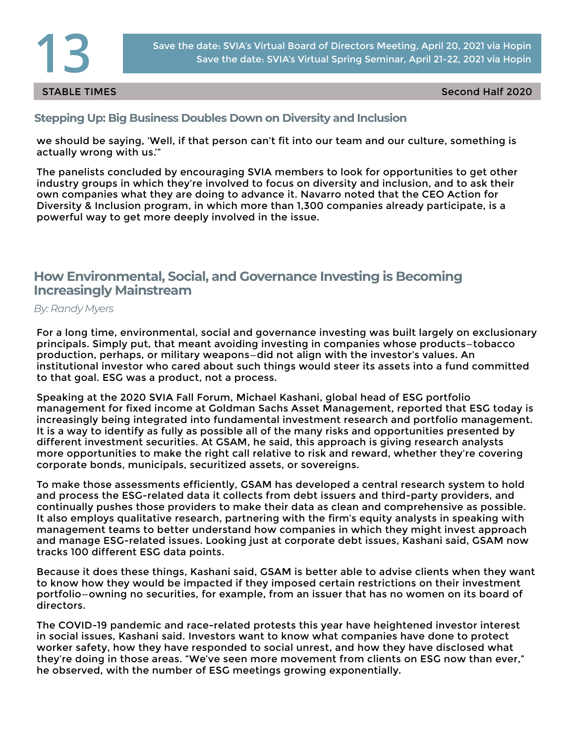

STABLE TIMES Second Half 2020

**Stepping Up: Big Business Doubles Down on Diversity and Inclusion**

we should be saying, 'Well, if that person can't fit into our team and our culture, something is actually wrong with us.'"

The panelists concluded by encouraging SVIA members to look for opportunities to get other industry groups in which they're involved to focus on diversity and inclusion, and to ask their own companies what they are doing to advance it. Navarro noted that the CEO Action for Diversity & Inclusion program, in which more than 1,300 companies already participate, is a powerful way to get more deeply involved in the issue.

# **How Environmental, Social, and Governance Investing is Becoming Increasingly Mainstream**

*By: Randy Myers*

For a long time, environmental, social and governance investing was built largely on exclusionary principals. Simply put, that meant avoiding investing in companies whose products—tobacco production, perhaps, or military weapons—did not align with the investor's values. An institutional investor who cared about such things would steer its assets into a fund committed to that goal. ESG was a product, not a process.

Speaking at the 2020 SVIA Fall Forum, Michael Kashani, global head of ESG portfolio management for fixed income at Goldman Sachs Asset Management, reported that ESG today is increasingly being integrated into fundamental investment research and portfolio management. It is a way to identify as fully as possible all of the many risks and opportunities presented by different investment securities. At GSAM, he said, this approach is giving research analysts more opportunities to make the right call relative to risk and reward, whether they're covering corporate bonds, municipals, securitized assets, or sovereigns.

To make those assessments efficiently, GSAM has developed a central research system to hold and process the ESG-related data it collects from debt issuers and third-party providers, and continually pushes those providers to make their data as clean and comprehensive as possible. It also employs qualitative research, partnering with the firm's equity analysts in speaking with management teams to better understand how companies in which they might invest approach and manage ESG-related issues. Looking just at corporate debt issues, Kashani said, GSAM now tracks 100 different ESG data points.

Because it does these things, Kashani said, GSAM is better able to advise clients when they want to know how they would be impacted if they imposed certain restrictions on their investment portfolio—owning no securities, for example, from an issuer that has no women on its board of directors.

The COVID-19 pandemic and race-related protests this year have heightened investor interest in social issues, Kashani said. Investors want to know what companies have done to protect worker safety, how they have responded to social unrest, and how they have disclosed what they're doing in those areas. "We've seen more movement from clients on ESG now than ever," he observed, with the number of ESG meetings growing exponentially.